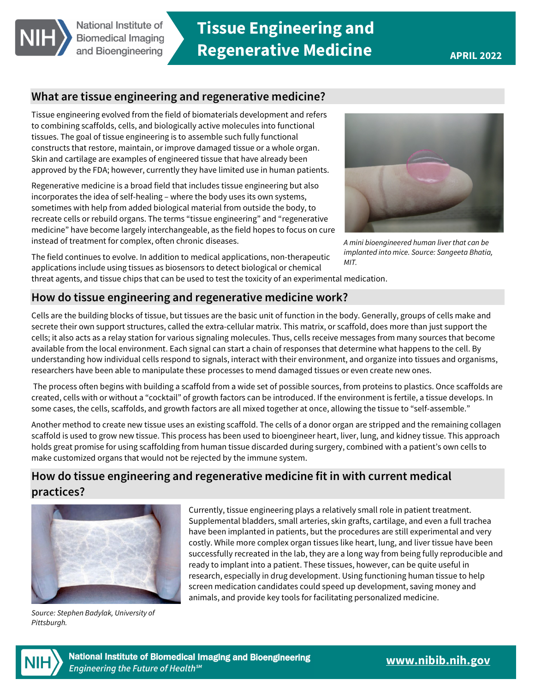

# **Tissue Engineering and Regenerative Medicine APRIL 2022**

## **What are tissue engineering and regenerative medicine?**

Tissue engineering evolved from the field of biomaterials development and refers to combining scaffolds, cells, and biologically active molecules into functional tissues. The goal of tissue engineering is to assemble such fully functional constructs that restore, maintain, or improve damaged tissue or a whole organ. Skin and cartilage are examples of engineered tissue that have already been approved by the FDA; however, currently they have limited use in human patients.

Regenerative medicine is a broad field that includes tissue engineering but also incorporates the idea of self-healing – where the body uses its own systems, sometimes with help from added biological material from outside the body, to recreate cells or rebuild organs. The terms "tissue engineering" and "regenerative medicine" have become largely interchangeable, as the field hopes to focus on cure instead of treatment for complex, often chronic diseases.



A mini bioengineered human liver that can be implanted into mice. Source: Sangeeta Bhatia, MIT.

The field continues to evolve. In addition to medical applications, non-therapeutic applications include using tissues as biosensors to detect biological or chemical

#### threat agents, and tissue chips that can be used to test the toxicity of an experimental medication.

### **How do tissue engineering and regenerative medicine work?**

Cells are the building blocks of tissue, but tissues are the basic unit of function in the body. Generally, groups of cells make and secrete their own support structures, called the extra-cellular matrix. This matrix, or scaffold, does more than just support the cells; it also acts as a relay station for various signaling molecules. Thus, cells receive messages from many sources that become available from the local environment. Each signal can start a chain of responses that determine what happens to the cell. By understanding how individual cells respond to signals, interact with their environment, and organize into tissues and organisms, researchers have been able to manipulate these processes to mend damaged tissues or even create new ones.

The process often begins with building a scaffold from a wide set of possible sources, from proteins to plastics. Once scaffolds are created, cells with or without a "cocktail" of growth factors can be introduced. If the environment is fertile, a tissue develops. In some cases, the cells, scaffolds, and growth factors are all mixed together at once, allowing the tissue to "self-assemble."

Another method to create new tissue uses an existing scaffold. The cells of a donor organ are stripped and the remaining collagen scaffold is used to grow new tissue. This process has been used to bioengineer heart, liver, lung, and kidney tissue. This approach holds great promise for using scaffolding from human tissue discarded during surgery, combined with a patient's own cells to make customized organs that would not be rejected by the immune system.

## **How do tissue engineering and regenerative medicine fit in with current medical practices?**



Currently, tissue engineering plays a relatively small role in patient treatment. Supplemental bladders, small arteries, skin grafts, cartilage, and even a full trachea have been implanted in patients, but the procedures are still experimental and very costly. While more complex organ tissues like heart, lung, and liver tissue have been successfully recreated in the lab, they are a long way from being fully reproducible and ready to implant into a patient. These tissues, however, can be quite useful in research, especially in drug development. Using functioning human tissue to help screen medication candidates could speed up development, saving money and animals, and provide key tools for facilitating personalized medicine.

Source: Stephen Badylak, University of Pittsburgh.